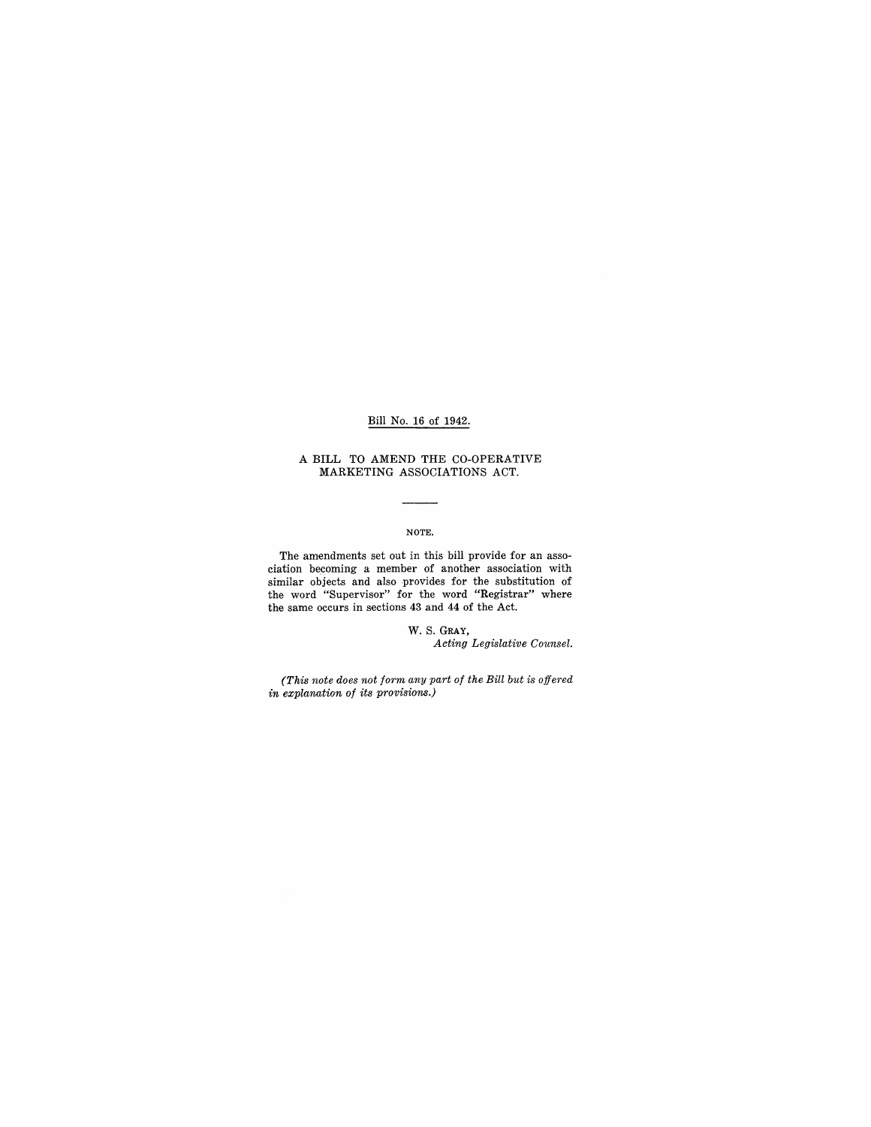### Bill No. 16 of 1942.

#### A **BILL** TO AMEND THE CO-OPERATIVE MARKETING ASSOCIATIONS ACT.

# NOTE.

The amendments set out in this bill provide for an association becoming a member of another association with similar objects and also provides for the substitution of the word "Supervisor" for the word "Registrar" where the same occurs in sections 43 and 44 of the Act.

> W. S. GRAY, *Acting Legislative Counsel.*

*(This note does not form any part of the Bill but is offered in explanation of* its *provisions.)*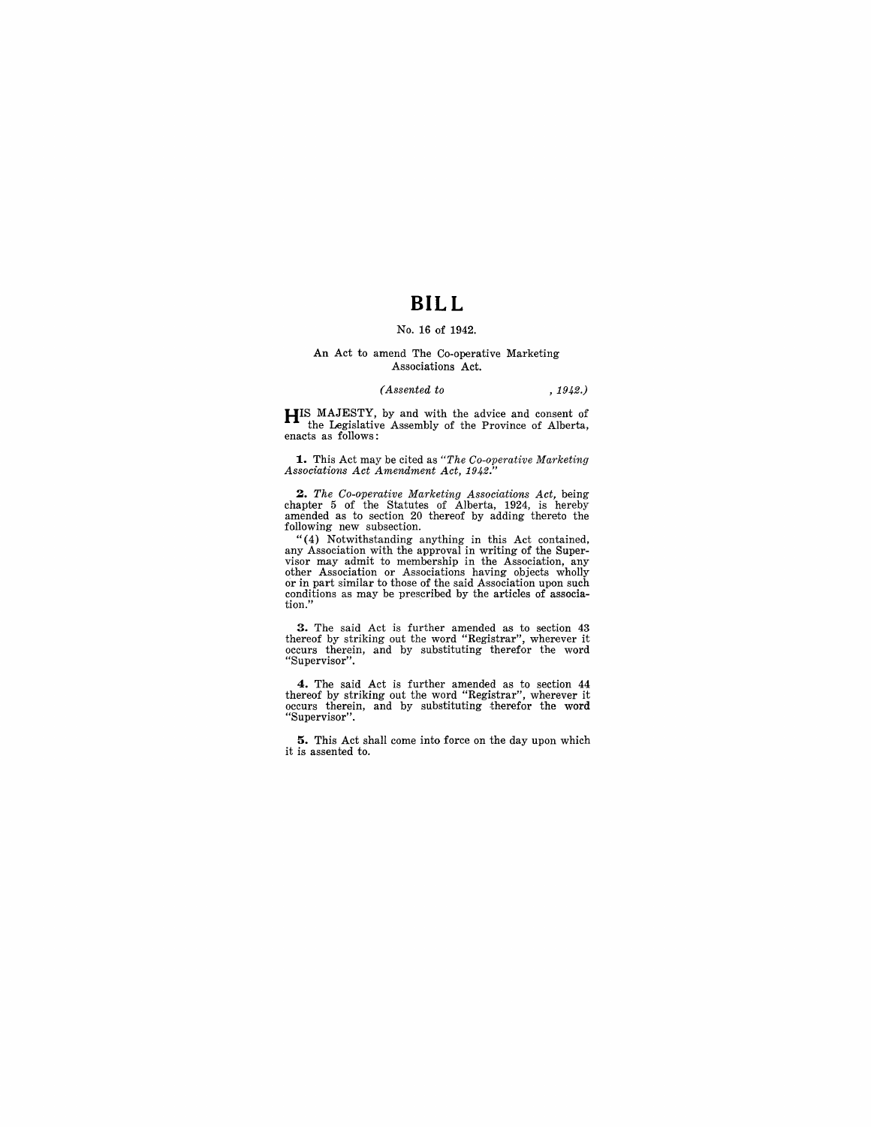# **BILL**

## No. **16** of 1942.

#### **An** Act to amend The Co-operative Marketing Associations Act.

#### *(Assented to* , 1942.)

**HIS** MAJESTY, by and with the advice and consent of the Legislative Assembly of the Province of Alberta, enacts as follows:

**1..** This Act may be cited as *"The Co-operative Marketing Associations Act Amendment Act, 1942."* 

2. The Co-operative Marketing Associations Act, being chapter 5 of the Statutes of Alberta, 1924, is hereby amended as to section 20 thereof by adding thereto the following new subsection.

"(4) Notwithstanding anything in this Act contained, any Association with the approval in writing of the Supervisor may admit to membership in the Association, any other Association or Associations having objects wholly o conditions as may be prescribed by the articles of association."

**3.** The said Act is further amended as to section 43 thereof by striking out the word "Registrar", wherever it occurs therein, and by substituting therefor the word "Supervisor".

**4.** The said Act is further amended as to section 44 thereof by striking out the word "Registrar", wherever it occurs therein, and by substituting therefor the word "Supervisor" .

**5.** This Act shall come into force on the day upon which it is assented to.